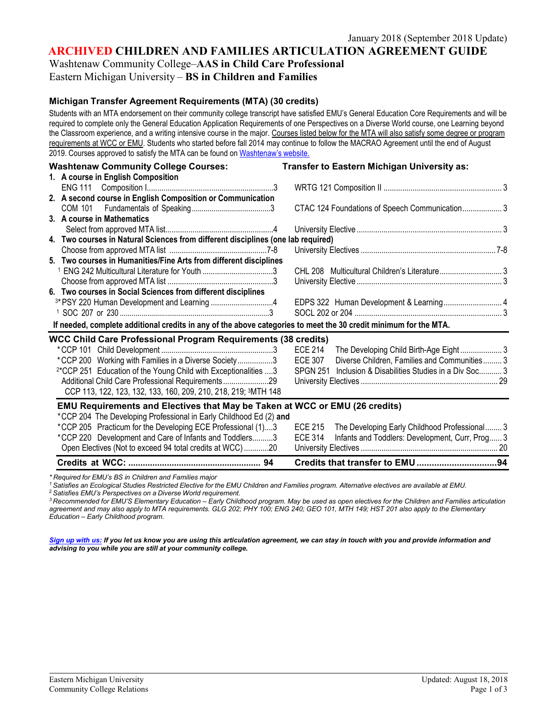**ARCHIVED CHILDREN AND FAMILIES ARTICULATION AGREEMENT GUIDE**

Washtenaw Community College–**AAS in Child Care Professional**

# Eastern Michigan University – **BS in Children and Families**

#### **Michigan Transfer Agreement Requirements (MTA) (30 credits)**

Students with an MTA endorsement on their community college transcript have satisfied EMU's General Education Core Requirements and will be required to complete only the General Education Application Requirements of one Perspectives on a Diverse World course, one Learning beyond the Classroom experience, and a writing intensive course in the major. Courses listed below for the MTA will also satisfy some degree or program requirements at WCC or EMU. Students who started before fall 2014 may continue to follow the MACRAO Agreement until the end of August 2019. Courses approved to satisfy the MTA can be found on [Washtenaw's](http://www.wccnet.edu/services/transferresources/mta/) website.

| <b>Washtenaw Community College Courses:</b>                                                                      | Transfer to Eastern Michigan University as:                        |
|------------------------------------------------------------------------------------------------------------------|--------------------------------------------------------------------|
| 1. A course in English Composition                                                                               |                                                                    |
|                                                                                                                  |                                                                    |
| 2. A second course in English Composition or Communication                                                       |                                                                    |
|                                                                                                                  | CTAC 124 Foundations of Speech Communication 3                     |
| 3. A course in Mathematics                                                                                       |                                                                    |
|                                                                                                                  |                                                                    |
| 4. Two courses in Natural Sciences from different disciplines (one lab required)                                 |                                                                    |
|                                                                                                                  |                                                                    |
| 5. Two courses in Humanities/Fine Arts from different disciplines                                                |                                                                    |
| <sup>1</sup> ENG 242 Multicultural Literature for Youth 3                                                        |                                                                    |
|                                                                                                                  |                                                                    |
| 6. Two courses in Social Sciences from different disciplines                                                     |                                                                    |
| <sup>3*</sup> PSY 220 Human Development and Learning 4                                                           | EDPS 322 Human Development & Learning 4                            |
|                                                                                                                  |                                                                    |
| If needed, complete additional credits in any of the above categories to meet the 30 credit minimum for the MTA. |                                                                    |
| <b>WCC Child Care Professional Program Requirements (38 credits)</b>                                             |                                                                    |
|                                                                                                                  | <b>ECE 214</b><br>The Developing Child Birth-Age Eight 3           |
| *CCP 200 Working with Families in a Diverse Society3                                                             | Diverse Children, Families and Communities 3<br><b>ECE 307</b>     |
| <sup>2*</sup> CCP 251 Education of the Young Child with Exceptionalities 3                                       | Inclusion & Disabilities Studies in a Div Soc 3<br><b>SPGN 251</b> |
| Additional Child Care Professional Requirements29                                                                |                                                                    |
| CCP 113, 122, 123, 132, 133, 160, 209, 210, 218, 219; 3MTH 148                                                   |                                                                    |
| EMU Requirements and Electives that May be Taken at WCC or EMU (26 credits)                                      |                                                                    |
| *CCP 204 The Developing Professional in Early Childhood Ed (2) and                                               |                                                                    |
| *CCP 205 Practicum for the Developing ECE Professional (1)3                                                      | The Developing Early Childhood Professional 3<br><b>ECE 215</b>    |
| *CCP 220 Development and Care of Infants and Toddlers3                                                           | Infants and Toddlers: Development, Curr, Prog 3<br><b>ECE 314</b>  |
| Open Electives (Not to exceed 94 total credits at WCC)20                                                         |                                                                    |
|                                                                                                                  |                                                                    |

*\* Required for EMU's BS in Children and Families major*

<sup>1</sup> Satisfies an Ecological Studies Restricted Elective for the EMU Children and Families program. Alternative electives are available at EMU.

<sup>2</sup> *Satisfies EMU's Perspectives on a Diverse World requirement.*

*3 Recommended for EMU'S Elementary Education – Early Childhood program. May be used as open electives for the Children and Families articulation agreement and may also apply to MTA requirements. GLG 202; PHY 100; ENG 240; GEO 101, MTH 149; HST 201 also apply to the Elementary Education – Early Childhood program.*

*[Sign up with us:](http://www.emich.edu/ccr/articulation-agreements/signup.php) If you let us know you are using this articulation agreement, we can stay in touch with you and provide information and advising to you while you are still at your community college.*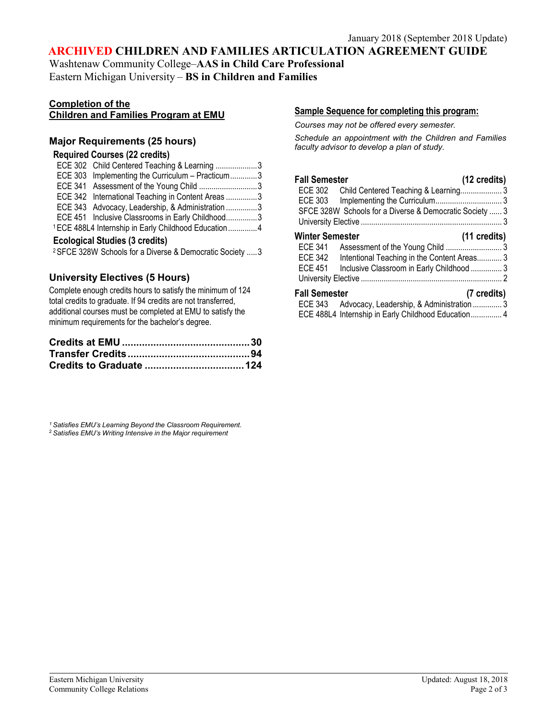## **ARCHIVED CHILDREN AND FAMILIES ARTICULATION AGREEMENT GUIDE**

Washtenaw Community College–**AAS in Child Care Professional** Eastern Michigan University – **BS in Children and Families**

#### **Completion of the Children and Families Program at EMU**

### **Major Requirements (25 hours)**

#### **Required Courses (22 credits)**

|                                                                 | ECE 302 Child Centered Teaching & Learning 3      |  |
|-----------------------------------------------------------------|---------------------------------------------------|--|
|                                                                 | ECE 303 Implementing the Curriculum - Practicum3  |  |
|                                                                 |                                                   |  |
|                                                                 | ECE 342 International Teaching in Content Areas 3 |  |
|                                                                 | ECE 343 Advocacy, Leadership, & Administration 3  |  |
|                                                                 | ECE 451 Inclusive Classrooms in Early Childhood3  |  |
| <sup>1</sup> ECE 488L4 Internship in Early Childhood Education4 |                                                   |  |

#### **Ecological Studies (3 credits)**

2SFCE 328W Schools for a Diverse & Democratic Society .....3

## **University Electives (5 Hours)**

Complete enough credits hours to satisfy the minimum of 124 total credits to graduate. If 94 credits are not transferred, additional courses must be completed at EMU to satisfy the minimum requirements for the bachelor's degree.

*<sup>1</sup> Satisfies EMU's Learning Beyond the Classroom Requirement.* <sup>2</sup> *Satisfies EMU's Writing Intensive in the Major requirement*

### **Sample Sequence for completing this program:**

*Courses may not be offered every semester.*

*Schedule an appointment with the Children and Families faculty advisor to develop a plan of study.*

| <b>Fall Semester</b><br>ECE 302 Child Centered Teaching & Learning 3<br><b>ECE 303</b><br>SFCE 328W Schools for a Diverse & Democratic Society  3 | (12 credits)                                                                                                       |
|---------------------------------------------------------------------------------------------------------------------------------------------------|--------------------------------------------------------------------------------------------------------------------|
| <b>Winter Semester</b><br>ECE 341<br>ECE 342<br>ECE 451                                                                                           | $(11 \text{ credits})$<br>Intentional Teaching in the Content Areas 3<br>Inclusive Classroom in Early Childhood  3 |
| <b>Fall Semester</b><br>ECE 343 Advocacy, Leadership, & Administration  3<br>ECE 488L4 Internship in Early Childhood Education 4                  | (7 credits)                                                                                                        |